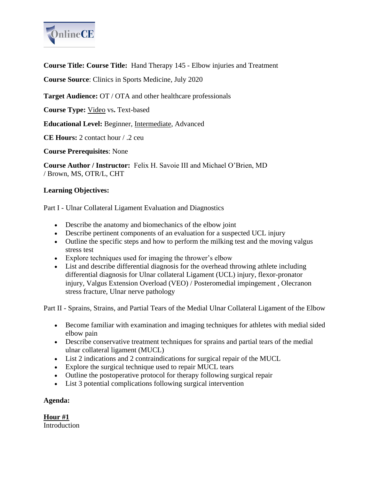

**Course Title: Course Title:** Hand Therapy 145 - Elbow injuries and Treatment

**Course Source**: Clinics in Sports Medicine, July 2020

**Target Audience:** OT / OTA and other healthcare professionals

**Course Type:** Video vs**.** Text-based

**Educational Level:** Beginner, Intermediate, Advanced

**CE Hours:** 2 contact hour / .2 ceu

**Course Prerequisites**: None

**Course Author / Instructor:** Felix H. Savoie III and Michael O'Brien, MD / Brown, MS, OTR/L, CHT

### **Learning Objectives:**

Part I - Ulnar Collateral Ligament Evaluation and Diagnostics

- Describe the anatomy and biomechanics of the elbow joint
- Describe pertinent components of an evaluation for a suspected UCL injury
- Outline the specific steps and how to perform the milking test and the moving valgus stress test
- Explore techniques used for imaging the thrower's elbow
- List and describe differential diagnosis for the overhead throwing athlete including differential diagnosis for Ulnar collateral Ligament (UCL) injury, flexor-pronator injury, Valgus Extension Overload (VEO) / Posteromedial impingement , Olecranon stress fracture, Ulnar nerve pathology

Part II - Sprains, Strains, and Partial Tears of the Medial Ulnar Collateral Ligament of the Elbow

- Become familiar with examination and imaging techniques for athletes with medial sided elbow pain
- Describe conservative treatment techniques for sprains and partial tears of the medial ulnar collateral ligament (MUCL)
- List 2 indications and 2 contraindications for surgical repair of the MUCL
- Explore the surgical technique used to repair MUCL tears
- Outline the postoperative protocol for therapy following surgical repair
- List 3 potential complications following surgical intervention

## **Agenda:**

**Hour #1 Introduction**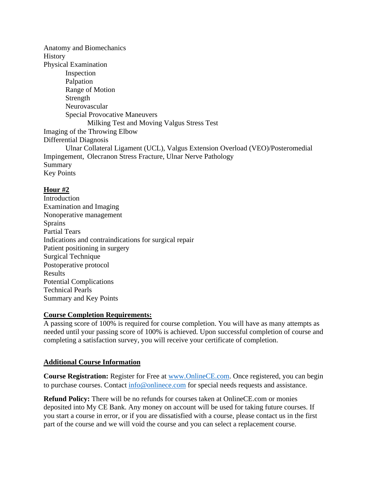Anatomy and Biomechanics History Physical Examination Inspection Palpation Range of Motion Strength Neurovascular Special Provocative Maneuvers Milking Test and Moving Valgus Stress Test Imaging of the Throwing Elbow Differential Diagnosis Ulnar Collateral Ligament (UCL), Valgus Extension Overload (VEO)/Posteromedial Impingement, Olecranon Stress Fracture, Ulnar Nerve Pathology Summary Key Points

## **Hour #2**

**Introduction** Examination and Imaging Nonoperative management Sprains Partial Tears Indications and contraindications for surgical repair Patient positioning in surgery Surgical Technique Postoperative protocol Results Potential Complications Technical Pearls Summary and Key Points

## **Course Completion Requirements:**

A passing score of 100% is required for course completion. You will have as many attempts as needed until your passing score of 100% is achieved. Upon successful completion of course and completing a satisfaction survey, you will receive your certificate of completion.

# **Additional Course Information**

**Course Registration:** Register for Free at [www.OnlineCE.com.](http://www.onlinece.com/) Once registered, you can begin to purchase courses. Contact [info@onlinece.com](mailto:info@onlinece.com) for special needs requests and assistance.

**Refund Policy:** There will be no refunds for courses taken at OnlineCE.com or monies deposited into My CE Bank. Any money on account will be used for taking future courses. If you start a course in error, or if you are dissatisfied with a course, please contact us in the first part of the course and we will void the course and you can select a replacement course.